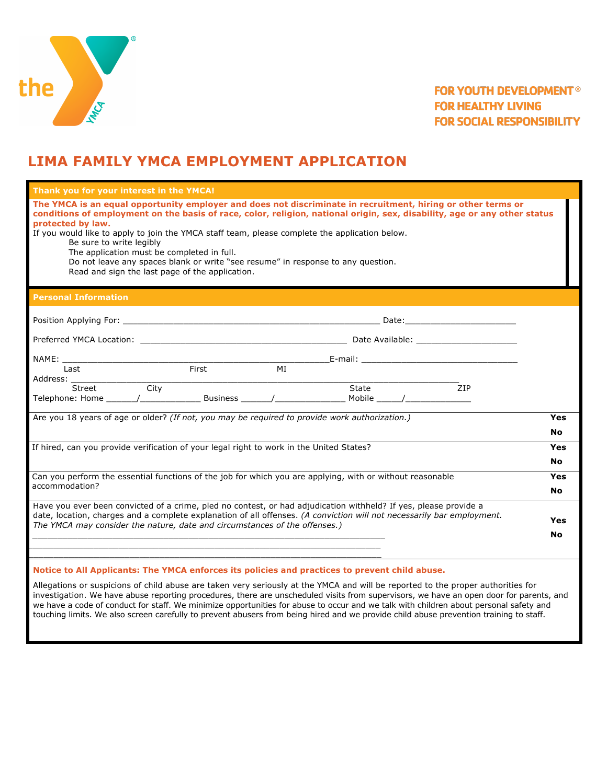

# **FOR YOUTH DEVELOPMENT® FOR HEALTHY LIVING FOR SOCIAL RESPONSIBILITY**

# **LIMA FAMILY YMCA EMPLOYMENT APPLICATION**

| Thank you for your interest in the YMCA!                                                                                                                                                                                                                                                                                                                                                                                                                                                                                                                                          |                  |  |  |  |  |
|-----------------------------------------------------------------------------------------------------------------------------------------------------------------------------------------------------------------------------------------------------------------------------------------------------------------------------------------------------------------------------------------------------------------------------------------------------------------------------------------------------------------------------------------------------------------------------------|------------------|--|--|--|--|
| The YMCA is an equal opportunity employer and does not discriminate in recruitment, hiring or other terms or<br>conditions of employment on the basis of race, color, religion, national origin, sex, disability, age or any other status<br>protected by law.<br>If you would like to apply to join the YMCA staff team, please complete the application below.<br>Be sure to write legibly<br>The application must be completed in full.<br>Do not leave any spaces blank or write "see resume" in response to any question.<br>Read and sign the last page of the application. |                  |  |  |  |  |
| <b>Personal Information</b>                                                                                                                                                                                                                                                                                                                                                                                                                                                                                                                                                       |                  |  |  |  |  |
|                                                                                                                                                                                                                                                                                                                                                                                                                                                                                                                                                                                   |                  |  |  |  |  |
|                                                                                                                                                                                                                                                                                                                                                                                                                                                                                                                                                                                   |                  |  |  |  |  |
| NAME:<br><b>First</b><br>MI<br>Last                                                                                                                                                                                                                                                                                                                                                                                                                                                                                                                                               |                  |  |  |  |  |
| Address: _____<br>$\overline{\phantom{a}}$ City<br>State <u>and</u><br>ZIP<br>Street                                                                                                                                                                                                                                                                                                                                                                                                                                                                                              |                  |  |  |  |  |
| Are you 18 years of age or older? (If not, you may be required to provide work authorization.)                                                                                                                                                                                                                                                                                                                                                                                                                                                                                    |                  |  |  |  |  |
| If hired, can you provide verification of your legal right to work in the United States?                                                                                                                                                                                                                                                                                                                                                                                                                                                                                          |                  |  |  |  |  |
| Can you perform the essential functions of the job for which you are applying, with or without reasonable<br>accommodation?                                                                                                                                                                                                                                                                                                                                                                                                                                                       |                  |  |  |  |  |
| Have you ever been convicted of a crime, pled no contest, or had adjudication withheld? If yes, please provide a<br>date, location, charges and a complete explanation of all offenses. (A conviction will not necessarily bar employment.<br>The YMCA may consider the nature, date and circumstances of the offenses.)                                                                                                                                                                                                                                                          | Yes<br><b>No</b> |  |  |  |  |
| Notice to All Applicants: The YMCA enforces its policies and practices to prevent child abuse.                                                                                                                                                                                                                                                                                                                                                                                                                                                                                    |                  |  |  |  |  |

Allegations or suspicions of child abuse are taken very seriously at the YMCA and will be reported to the proper authorities for investigation. We have abuse reporting procedures, there are unscheduled visits from supervisors, we have an open door for parents, and we have a code of conduct for staff. We minimize opportunities for abuse to occur and we talk with children about personal safety and touching limits. We also screen carefully to prevent abusers from being hired and we provide child abuse prevention training to staff.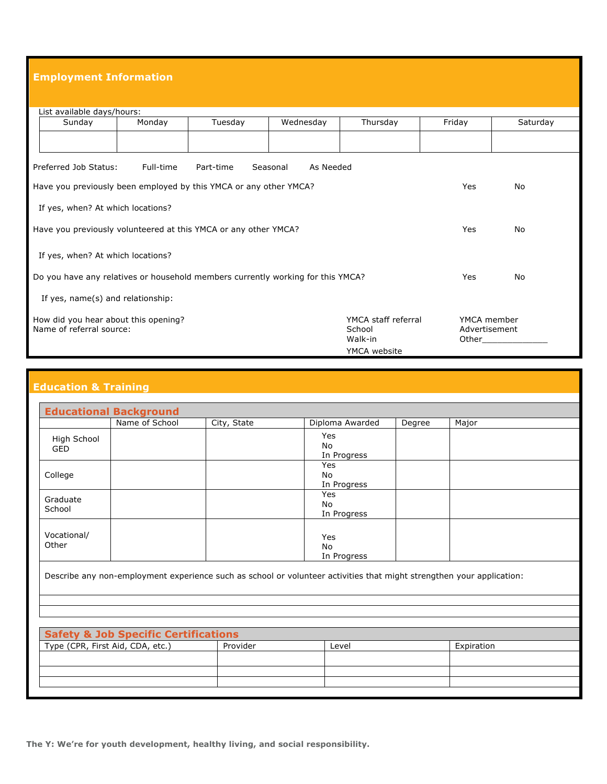### **Employment Information**

| List available days/hours:                                                      |         |               |          |        |             |  |  |
|---------------------------------------------------------------------------------|---------|---------------|----------|--------|-------------|--|--|
| Monday<br>Sunday                                                                | Tuesday | Wednesday     | Thursday | Friday | Saturday    |  |  |
|                                                                                 |         |               |          |        |             |  |  |
|                                                                                 |         |               |          |        |             |  |  |
| Preferred Job Status:<br>Full-time<br>Part-time<br>Seasonal<br>As Needed        |         |               |          |        |             |  |  |
| Have you previously been employed by this YMCA or any other YMCA?               | Yes     | No            |          |        |             |  |  |
| If yes, when? At which locations?                                               |         |               |          |        |             |  |  |
| Have you previously volunteered at this YMCA or any other YMCA?                 |         |               |          |        | No          |  |  |
| If yes, when? At which locations?                                               |         |               |          |        |             |  |  |
| Do you have any relatives or household members currently working for this YMCA? |         |               |          |        | No          |  |  |
| If yes, name(s) and relationship:                                               |         |               |          |        |             |  |  |
| YMCA staff referral<br>How did you hear about this opening?                     |         |               |          |        | YMCA member |  |  |
| Name of referral source:                                                        |         | Advertisement |          |        |             |  |  |
|                                                                                 |         |               | Walk-in  | Other  |             |  |  |
| YMCA website                                                                    |         |               |          |        |             |  |  |

## **Education & Training**

|                                  | <b>Educational Background</b>                   |             |                                                                                                                       |        |            |  |
|----------------------------------|-------------------------------------------------|-------------|-----------------------------------------------------------------------------------------------------------------------|--------|------------|--|
|                                  | Name of School                                  | City, State | Diploma Awarded                                                                                                       | Degree | Major      |  |
| High School<br><b>GED</b>        |                                                 |             | Yes<br>No<br>In Progress                                                                                              |        |            |  |
| College                          |                                                 |             | Yes<br>No<br>In Progress                                                                                              |        |            |  |
| Graduate<br>School               |                                                 |             | Yes<br>No<br>In Progress                                                                                              |        |            |  |
| Vocational/<br>Other             |                                                 |             | Yes<br>No<br>In Progress                                                                                              |        |            |  |
|                                  |                                                 |             | Describe any non-employment experience such as school or volunteer activities that might strengthen your application: |        |            |  |
|                                  |                                                 |             |                                                                                                                       |        |            |  |
|                                  | <b>Safety &amp; Job Specific Certifications</b> |             |                                                                                                                       |        |            |  |
| Type (CPR, First Aid, CDA, etc.) |                                                 | Provider    | Level                                                                                                                 |        | Expiration |  |
|                                  |                                                 |             |                                                                                                                       |        |            |  |
|                                  |                                                 |             |                                                                                                                       |        |            |  |
|                                  |                                                 |             |                                                                                                                       |        |            |  |

**The Y: We're for youth development, healthy living, and social responsibility.**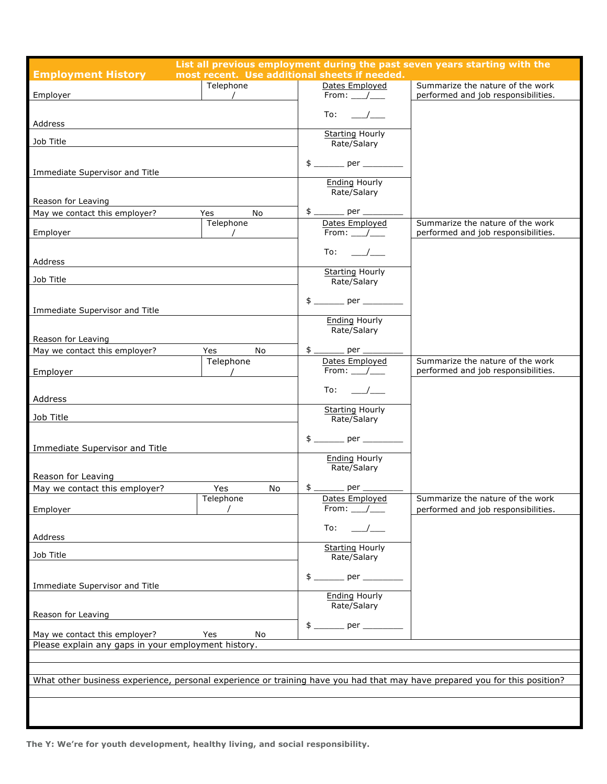| <b>Employment History</b>                                                                                                  | most recent. Use additional sheets if needed. |  |                                           | List all previous employment during the past seven years starting with the |  |
|----------------------------------------------------------------------------------------------------------------------------|-----------------------------------------------|--|-------------------------------------------|----------------------------------------------------------------------------|--|
| Employer                                                                                                                   | Telephone<br>$\overline{\phantom{a}}$         |  | Dates Employed<br>From: $\_\_\_\_\_\_\_\$ | Summarize the nature of the work<br>performed and job responsibilities.    |  |
| Address                                                                                                                    |                                               |  | To:                                       |                                                                            |  |
| Job Title                                                                                                                  |                                               |  | <b>Starting Hourly</b><br>Rate/Salary     |                                                                            |  |
| Immediate Supervisor and Title                                                                                             |                                               |  | <b>Ending Hourly</b>                      |                                                                            |  |
| Reason for Leaving                                                                                                         |                                               |  | Rate/Salary                               |                                                                            |  |
| May we contact this employer?                                                                                              | <b>No</b><br>Yes                              |  |                                           |                                                                            |  |
| Employer                                                                                                                   | Telephone                                     |  | Dates Employed<br>From: $\_\_\_\_\_\_\_\$ | Summarize the nature of the work<br>performed and job responsibilities.    |  |
| Address                                                                                                                    |                                               |  | To: $\_\_\_\_\_\_\_\_\$                   |                                                                            |  |
| Job Title                                                                                                                  |                                               |  | <b>Starting Hourly</b><br>Rate/Salary     |                                                                            |  |
| Immediate Supervisor and Title                                                                                             |                                               |  |                                           |                                                                            |  |
| Reason for Leaving                                                                                                         |                                               |  | <b>Ending Hourly</b><br>Rate/Salary       |                                                                            |  |
| May we contact this employer?                                                                                              | <b>No</b><br>Yes                              |  | $$$ _________ per _____                   |                                                                            |  |
| Employer                                                                                                                   | Telephone                                     |  | Dates Employed<br>From: $/$               | Summarize the nature of the work<br>performed and job responsibilities.    |  |
|                                                                                                                            |                                               |  | To:<br>$\overline{\phantom{a}}$           |                                                                            |  |
| Address                                                                                                                    |                                               |  |                                           |                                                                            |  |
| Job Title                                                                                                                  |                                               |  | <b>Starting Hourly</b><br>Rate/Salary     |                                                                            |  |
| Immediate Supervisor and Title                                                                                             |                                               |  | <b>Ending Hourly</b>                      |                                                                            |  |
| Reason for Leaving                                                                                                         |                                               |  | Rate/Salary                               |                                                                            |  |
| May we contact this employer?                                                                                              | Yes<br>No.                                    |  | $$$ _________ per _____                   |                                                                            |  |
| Employer                                                                                                                   | Telephone                                     |  | Dates Employed<br>From: /                 | Summarize the nature of the work<br>performed and job responsibilities.    |  |
| Address                                                                                                                    |                                               |  | To:                                       |                                                                            |  |
| Job Title                                                                                                                  |                                               |  | <b>Starting Hourly</b><br>Rate/Salary     |                                                                            |  |
| Immediate Supervisor and Title                                                                                             |                                               |  |                                           |                                                                            |  |
| Reason for Leaving                                                                                                         |                                               |  | <b>Ending Hourly</b><br>Rate/Salary       |                                                                            |  |
| May we contact this employer?<br>Yes<br>No                                                                                 |                                               |  |                                           |                                                                            |  |
| Please explain any gaps in your employment history.                                                                        |                                               |  |                                           |                                                                            |  |
|                                                                                                                            |                                               |  |                                           |                                                                            |  |
|                                                                                                                            |                                               |  |                                           |                                                                            |  |
| What other business experience, personal experience or training have you had that may have prepared you for this position? |                                               |  |                                           |                                                                            |  |
|                                                                                                                            |                                               |  |                                           |                                                                            |  |
|                                                                                                                            |                                               |  |                                           |                                                                            |  |